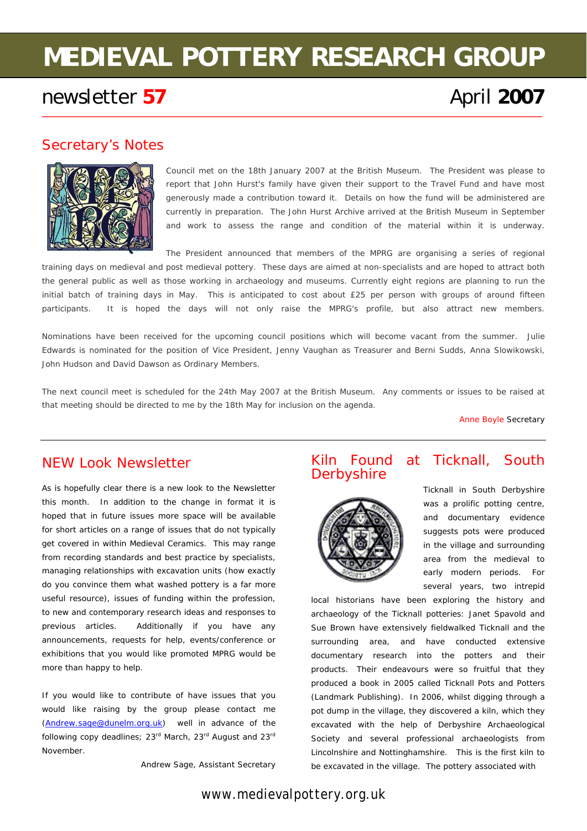# **MEDIEVAL POTTERY RESEARCH GROUP**

\_\_\_\_\_\_\_\_\_\_\_\_\_\_\_\_\_\_\_\_\_\_\_\_\_\_\_\_\_\_\_\_\_\_\_\_\_\_\_\_\_\_\_\_\_\_\_\_\_\_\_\_\_\_\_\_\_\_\_\_\_\_\_\_\_\_\_\_\_\_\_\_\_\_\_\_\_\_\_\_\_\_\_\_\_\_\_\_\_\_\_\_\_\_\_\_\_\_\_\_\_\_\_\_\_\_\_\_\_\_\_\_\_\_\_\_\_\_\_\_\_

## newsletter 57 **April 2007 April 2007**

## Secretary's Notes



Council met on the 18th January 2007 at the British Museum. The President was please to report that John Hurst's family have given their support to the Travel Fund and have most generously made a contribution toward it. Details on how the fund will be administered are currently in preparation. The John Hurst Archive arrived at the British Museum in September and work to assess the range and condition of the material within it is underway.

The President announced that members of the MPRG are organising a series of regional training days on medieval and post medieval pottery. These days are aimed at non-specialists and are hoped to attract both the general public as well as those working in archaeology and museums. Currently eight regions are planning to run the initial batch of training days in May. This is anticipated to cost about £25 per person with groups of around fifteen participants. It is hoped the days will not only raise the MPRG's profile, but also attract new members.

Nominations have been received for the upcoming council positions which will become vacant from the summer. Julie Edwards is nominated for the position of Vice President, Jenny Vaughan as Treasurer and Berni Sudds, Anna Slowikowski, John Hudson and David Dawson as Ordinary Members.

The next council meet is scheduled for the 24th May 2007 at the British Museum. Any comments or issues to be raised at that meeting should be directed to me by the 18th May for inclusion on the agenda.

Anne Boyle Secretary

## NEW Look Newsletter

As is hopefully clear there is a new look to the Newsletter this month. In addition to the change in format it is hoped that in future issues more space will be available for short articles on a range of issues that do not typically get covered in within *Medieval Ceramics*. This may range from recording standards and best practice by specialists, managing relationships with excavation units (how exactly do you convince them what *washed* pottery is a far more useful resource), issues of funding within the profession, to new and contemporary research ideas and responses to previous articles. Additionally if you have any announcements, requests for help, events/conference or exhibitions that you would like promoted MPRG would be more than happy to help.

If you would like to contribute of have issues that you would like raising by the group please contact me [\(Andrew.sage@dunelm.org.uk\)](mailto:Andrew.sage@dunelm.org.uk) well in advance of the following copy deadlines; 23<sup>rd</sup> March, 23<sup>rd</sup> August and 23<sup>rd</sup> November.

Andrew Sage, Assistant Secretary

#### Kiln Found at Ticknall, South **Derbyshire**



Ticknall in South Derbyshire was a prolific potting centre, and documentary evidence suggests pots were produced in the village and surrounding area from the medieval to early modern periods. For several years, two intrepid

local historians have been exploring the history and archaeology of the Ticknall potteries: Janet Spavold and Sue Brown have extensively fieldwalked Ticknall and the surrounding area, and have conducted extensive documentary research into the potters and their products. Their endeavours were so fruitful that they produced a book in 2005 called Ticknall Pots and Potters (Landmark Publishing). In 2006, whilst digging through a pot dump in the village, they discovered a kiln, which they excavated with the help of Derbyshire Archaeological Society and several professional archaeologists from Lincolnshire and Nottinghamshire. This is the first kiln to be excavated in the village. The pottery associated with

*www.medievalpottery.org.uk*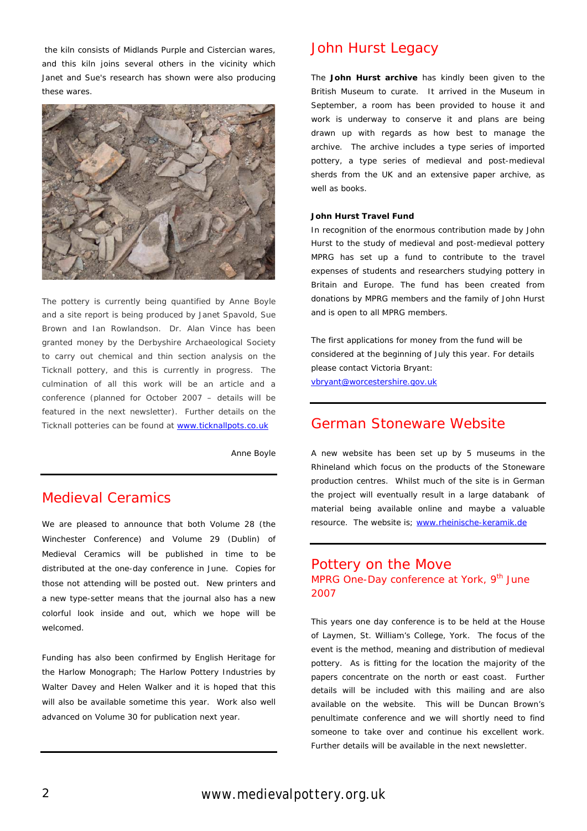the kiln consists of Midlands Purple and Cistercian wares, and this kiln joins several others in the vicinity which Janet and Sue's research has shown were also producing these wares.



The pottery is currently being quantified by Anne Boyle and a site report is being produced by Janet Spavold, Sue Brown and Ian Rowlandson. Dr. Alan Vince has been granted money by the Derbyshire Archaeological Society to carry out chemical and thin section analysis on the Ticknall pottery, and this is currently in progress. The culmination of all this work will be an article and a conference (planned for October 2007 – details will be featured in the next newsletter). Further details on the Ticknall potteries can be found at [www.ticknallpots.co.uk](http://www.ticknallpots.co.uk/)

Anne Boyle

## Medieval Ceramics

We are pleased to announce that both Volume 28 (the Winchester Conference) and Volume 29 (Dublin) of *Medieval Ceramics* will be published in time to be distributed at the one-day conference in June. Copies for those not attending will be posted out. New printers and a new type-setter means that the journal also has a new colorful look inside and out, which we hope will be welcomed.

Funding has also been confirmed by English Heritage for the Harlow Monograph; *The Harlow Pottery Industries* by Walter Davey and Helen Walker and it is hoped that this will also be available sometime this year. Work also well advanced on Volume 30 for publication next year.

#### John Hurst Legacy

The **John Hurst archive** has kindly been given to the British Museum to curate. It arrived in the Museum in September, a room has been provided to house it and work is underway to conserve it and plans are being drawn up with regards as how best to manage the archive. The archive includes a type series of imported pottery, a type series of medieval and post-medieval sherds from the UK and an extensive paper archive, as well as books.

#### **John Hurst Travel Fund**

In recognition of the enormous contribution made by John Hurst to the study of medieval and post-medieval pottery MPRG has set up a fund to contribute to the travel expenses of students and researchers studying pottery in Britain and Europe. The fund has been created from donations by MPRG members and the family of John Hurst and is open to all MPRG members.

The first applications for money from the fund will be considered at the beginning of July this year. For details please contact Victoria Bryant: [vbryant@worcestershire.gov.uk](mailto:vbryant@worcestershire.gov.uk) 

### German Stoneware Website

A new website has been set up by 5 museums in the Rhineland which focus on the products of the Stoneware production centres. Whilst much of the site is in German the project will eventually result in a large databank of material being available online and maybe a valuable resource. The website is; www.rheinische-keramik.de

#### Pottery on the Move MPRG One-Day conference at York, 9<sup>th</sup> June 2007

This years one day conference is to be held at the House of Laymen, St. William's College, York. The focus of the event is the method, meaning and distribution of medieval pottery. As is fitting for the location the majority of the papers concentrate on the north or east coast. Further details will be included with this mailing and are also available on the website. This will be Duncan Brown's penultimate conference and we will shortly need to find someone to take over and continue his excellent work. Further details will be available in the next newsletter.